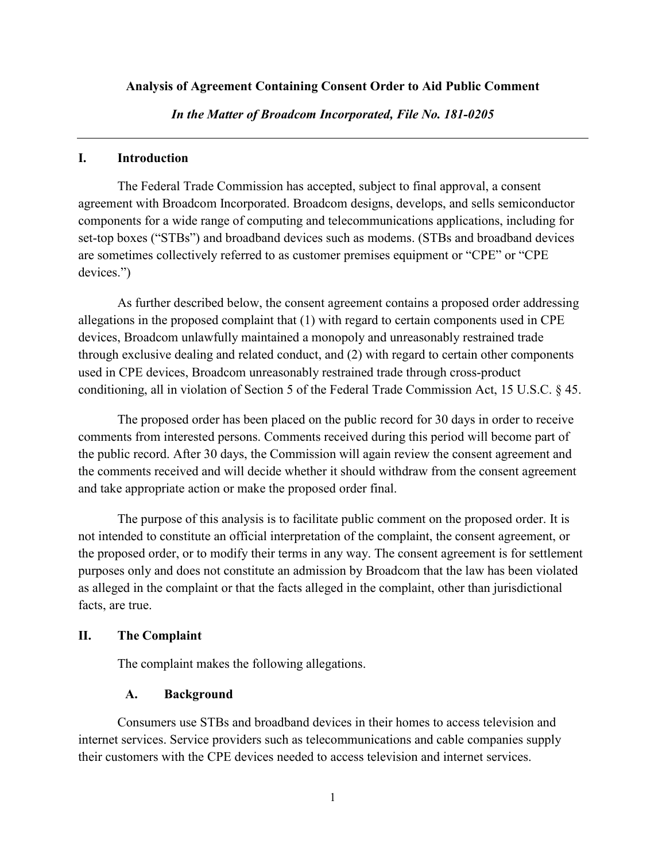### **Analysis of Agreement Containing Consent Order to Aid Public Comment**

*In the Matter of Broadcom Incorporated, File No. 181-0205* 

#### **I. Introduction**

The Federal Trade Commission has accepted, subject to final approval, a consent agreement with Broadcom Incorporated. Broadcom designs, develops, and sells semiconductor components for a wide range of computing and telecommunications applications, including for set-top boxes ("STBs") and broadband devices such as modems. (STBs and broadband devices are sometimes collectively referred to as customer premises equipment or "CPE" or "CPE devices.")

As further described below, the consent agreement contains a proposed order addressing allegations in the proposed complaint that (1) with regard to certain components used in CPE devices, Broadcom unlawfully maintained a monopoly and unreasonably restrained trade through exclusive dealing and related conduct, and (2) with regard to certain other components used in CPE devices, Broadcom unreasonably restrained trade through cross-product conditioning, all in violation of Section 5 of the Federal Trade Commission Act, 15 U.S.C. § 45.

The proposed order has been placed on the public record for 30 days in order to receive comments from interested persons. Comments received during this period will become part of the public record. After 30 days, the Commission will again review the consent agreement and the comments received and will decide whether it should withdraw from the consent agreement and take appropriate action or make the proposed order final.

The purpose of this analysis is to facilitate public comment on the proposed order. It is not intended to constitute an official interpretation of the complaint, the consent agreement, or the proposed order, or to modify their terms in any way. The consent agreement is for settlement purposes only and does not constitute an admission by Broadcom that the law has been violated as alleged in the complaint or that the facts alleged in the complaint, other than jurisdictional facts, are true.

### **II. The Complaint**

The complaint makes the following allegations.

## **A. Background**

Consumers use STBs and broadband devices in their homes to access television and internet services. Service providers such as telecommunications and cable companies supply their customers with the CPE devices needed to access television and internet services.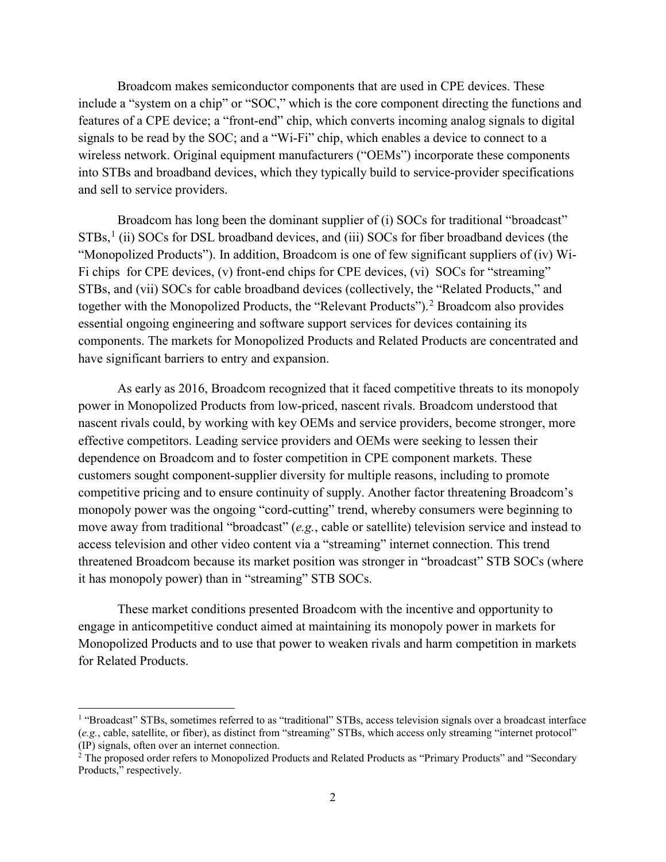Broadcom makes semiconductor components that are used in CPE devices. These include a "system on a chip" or "SOC," which is the core component directing the functions and features of a CPE device; a "front-end" chip, which converts incoming analog signals to digital signals to be read by the SOC; and a "Wi-Fi" chip, which enables a device to connect to a wireless network. Original equipment manufacturers ("OEMs") incorporate these components into STBs and broadband devices, which they typically build to service-provider specifications and sell to service providers.

Broadcom has long been the dominant supplier of (i) SOCs for traditional "broadcast" STBs,<sup>[1](#page-1-0)</sup> (ii) SOCs for DSL broadband devices, and (iii) SOCs for fiber broadband devices (the "Monopolized Products"). In addition, Broadcom is one of few significant suppliers of (iv) Wi-Fi chips for CPE devices, (v) front-end chips for CPE devices, (vi) SOCs for "streaming" STBs, and (vii) SOCs for cable broadband devices (collectively, the "Related Products," and together with the Monopolized Products, the "Relevant Products").<sup>[2](#page-1-1)</sup> Broadcom also provides essential ongoing engineering and software support services for devices containing its components. The markets for Monopolized Products and Related Products are concentrated and have significant barriers to entry and expansion.

As early as 2016, Broadcom recognized that it faced competitive threats to its monopoly power in Monopolized Products from low-priced, nascent rivals. Broadcom understood that nascent rivals could, by working with key OEMs and service providers, become stronger, more effective competitors. Leading service providers and OEMs were seeking to lessen their dependence on Broadcom and to foster competition in CPE component markets. These customers sought component-supplier diversity for multiple reasons, including to promote competitive pricing and to ensure continuity of supply. Another factor threatening Broadcom's monopoly power was the ongoing "cord-cutting" trend, whereby consumers were beginning to move away from traditional "broadcast" (*e.g.*, cable or satellite) television service and instead to access television and other video content via a "streaming" internet connection. This trend threatened Broadcom because its market position was stronger in "broadcast" STB SOCs (where it has monopoly power) than in "streaming" STB SOCs.

These market conditions presented Broadcom with the incentive and opportunity to engage in anticompetitive conduct aimed at maintaining its monopoly power in markets for Monopolized Products and to use that power to weaken rivals and harm competition in markets for Related Products.

<span id="page-1-0"></span><sup>&</sup>lt;sup>1</sup> "Broadcast" STBs, sometimes referred to as "traditional" STBs, access television signals over a broadcast interface (*e.g.*, cable, satellite, or fiber), as distinct from "streaming" STBs, which access only streaming "internet protocol" (IP) signals, often over an internet connection.

<span id="page-1-1"></span><sup>&</sup>lt;sup>2</sup> The proposed order refers to Monopolized Products and Related Products as "Primary Products" and "Secondary Products," respectively.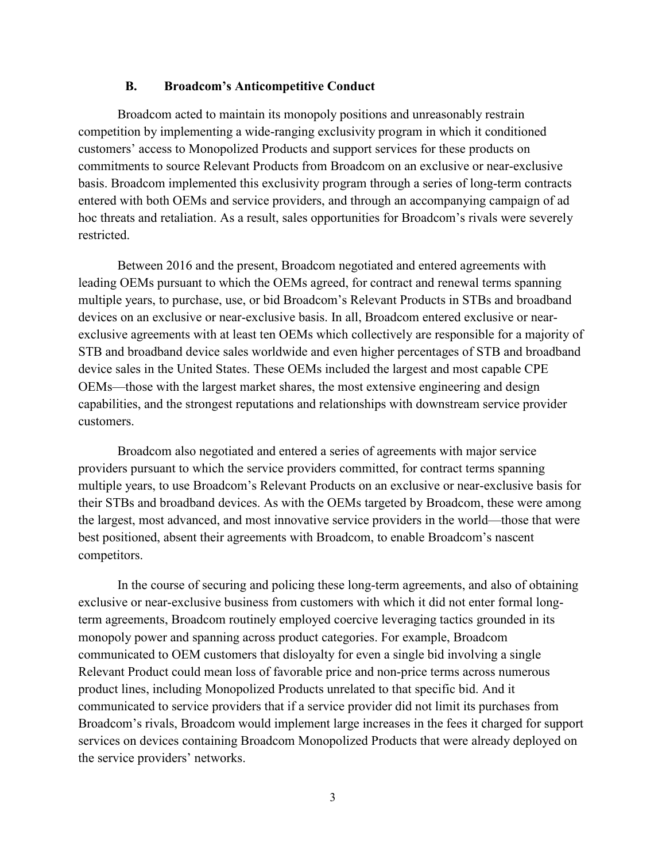### **B. Broadcom's Anticompetitive Conduct**

Broadcom acted to maintain its monopoly positions and unreasonably restrain competition by implementing a wide-ranging exclusivity program in which it conditioned customers' access to Monopolized Products and support services for these products on commitments to source Relevant Products from Broadcom on an exclusive or near-exclusive basis. Broadcom implemented this exclusivity program through a series of long-term contracts entered with both OEMs and service providers, and through an accompanying campaign of ad hoc threats and retaliation. As a result, sales opportunities for Broadcom's rivals were severely restricted.

Between 2016 and the present, Broadcom negotiated and entered agreements with leading OEMs pursuant to which the OEMs agreed, for contract and renewal terms spanning multiple years, to purchase, use, or bid Broadcom's Relevant Products in STBs and broadband devices on an exclusive or near-exclusive basis. In all, Broadcom entered exclusive or nearexclusive agreements with at least ten OEMs which collectively are responsible for a majority of STB and broadband device sales worldwide and even higher percentages of STB and broadband device sales in the United States. These OEMs included the largest and most capable CPE OEMs—those with the largest market shares, the most extensive engineering and design capabilities, and the strongest reputations and relationships with downstream service provider customers.

Broadcom also negotiated and entered a series of agreements with major service providers pursuant to which the service providers committed, for contract terms spanning multiple years, to use Broadcom's Relevant Products on an exclusive or near-exclusive basis for their STBs and broadband devices. As with the OEMs targeted by Broadcom, these were among the largest, most advanced, and most innovative service providers in the world—those that were best positioned, absent their agreements with Broadcom, to enable Broadcom's nascent competitors.

In the course of securing and policing these long-term agreements, and also of obtaining exclusive or near-exclusive business from customers with which it did not enter formal longterm agreements, Broadcom routinely employed coercive leveraging tactics grounded in its monopoly power and spanning across product categories. For example, Broadcom communicated to OEM customers that disloyalty for even a single bid involving a single Relevant Product could mean loss of favorable price and non-price terms across numerous product lines, including Monopolized Products unrelated to that specific bid. And it communicated to service providers that if a service provider did not limit its purchases from Broadcom's rivals, Broadcom would implement large increases in the fees it charged for support services on devices containing Broadcom Monopolized Products that were already deployed on the service providers' networks.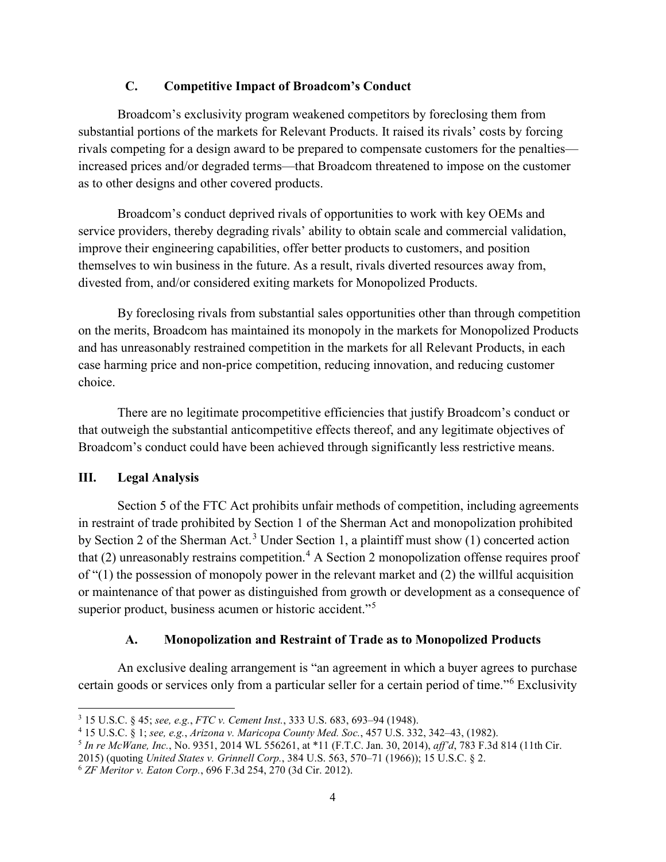## **C. Competitive Impact of Broadcom's Conduct**

Broadcom's exclusivity program weakened competitors by foreclosing them from substantial portions of the markets for Relevant Products. It raised its rivals' costs by forcing rivals competing for a design award to be prepared to compensate customers for the penalties increased prices and/or degraded terms—that Broadcom threatened to impose on the customer as to other designs and other covered products.

Broadcom's conduct deprived rivals of opportunities to work with key OEMs and service providers, thereby degrading rivals' ability to obtain scale and commercial validation, improve their engineering capabilities, offer better products to customers, and position themselves to win business in the future. As a result, rivals diverted resources away from, divested from, and/or considered exiting markets for Monopolized Products.

By foreclosing rivals from substantial sales opportunities other than through competition on the merits, Broadcom has maintained its monopoly in the markets for Monopolized Products and has unreasonably restrained competition in the markets for all Relevant Products, in each case harming price and non-price competition, reducing innovation, and reducing customer choice.

There are no legitimate procompetitive efficiencies that justify Broadcom's conduct or that outweigh the substantial anticompetitive effects thereof, and any legitimate objectives of Broadcom's conduct could have been achieved through significantly less restrictive means.

## **III. Legal Analysis**

Section 5 of the FTC Act prohibits unfair methods of competition, including agreements in restraint of trade prohibited by Section 1 of the Sherman Act and monopolization prohibited by Section 2 of the Sherman Act.<sup>[3](#page-3-0)</sup> Under Section 1, a plaintiff must show (1) concerted action that (2) unreasonably restrains competition. [4](#page-3-1) A Section 2 monopolization offense requires proof of "(1) the possession of monopoly power in the relevant market and (2) the willful acquisition or maintenance of that power as distinguished from growth or development as a consequence of superior product, business acumen or historic accident."<sup>[5](#page-3-2)</sup>

# **A. Monopolization and Restraint of Trade as to Monopolized Products**

An exclusive dealing arrangement is "an agreement in which a buyer agrees to purchase certain goods or services only from a particular seller for a certain period of time."[6](#page-3-3) Exclusivity

<span id="page-3-0"></span> <sup>3</sup> 15 U.S.C. § 45; *see, e.g.*, *FTC v. Cement Inst.*, 333 U.S. 683, 693–94 (1948).

<span id="page-3-1"></span><sup>4</sup> 15 U.S.C. § 1; *see, e.g.*, *Arizona v. Maricopa County Med. Soc.*, 457 U.S. 332, 342–43, (1982).

<span id="page-3-2"></span><sup>5</sup> *In re McWane, Inc.*, No. 9351, 2014 WL 556261, at \*11 (F.T.C. Jan. 30, 2014), *aff'd*, 783 F.3d 814 (11th Cir.

<sup>2015)</sup> (quoting *United States v. Grinnell Corp.*, 384 U.S. 563, 570–71 (1966)); 15 U.S.C. § 2.

<span id="page-3-3"></span><sup>6</sup> *ZF Meritor v. Eaton Corp.*, 696 F.3d 254, 270 (3d Cir. 2012).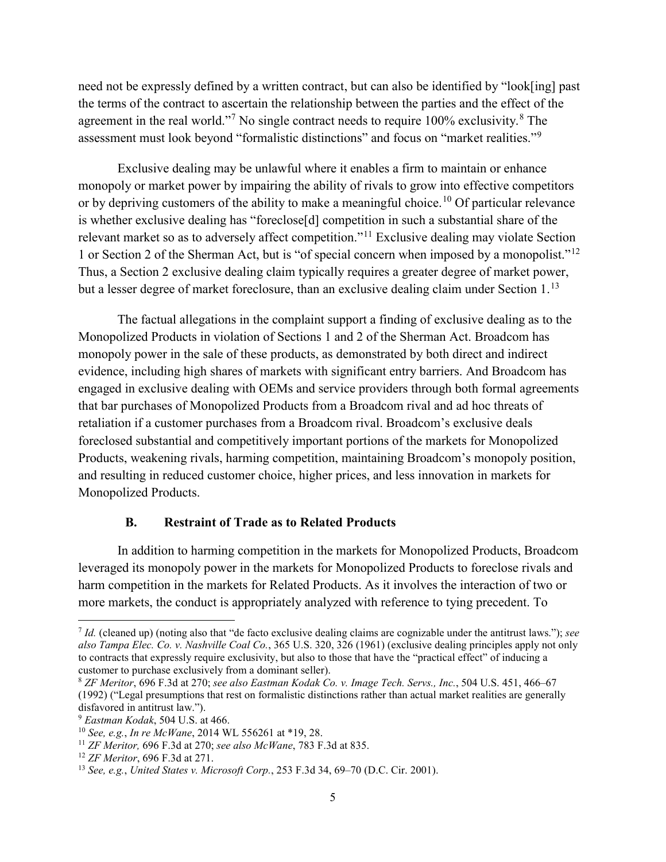need not be expressly defined by a written contract, but can also be identified by "look[ing] past the terms of the contract to ascertain the relationship between the parties and the effect of the agreement in the real world."<sup>[7](#page-4-0)</sup> No single contract needs to require  $100\%$  exclusivity.<sup>[8](#page-4-1)</sup> The assessment must look beyond "formalistic distinctions" and focus on "market realities."<sup>[9](#page-4-2)</sup>

Exclusive dealing may be unlawful where it enables a firm to maintain or enhance monopoly or market power by impairing the ability of rivals to grow into effective competitors or by depriving customers of the ability to make a meaningful choice.<sup>[10](#page-4-3)</sup> Of particular relevance is whether exclusive dealing has "foreclose[d] competition in such a substantial share of the relevant market so as to adversely affect competition."[11](#page-4-4) Exclusive dealing may violate Section 1 or Section 2 of the Sherman Act, but is "of special concern when imposed by a monopolist."[12](#page-4-5) Thus, a Section 2 exclusive dealing claim typically requires a greater degree of market power, but a lesser degree of market foreclosure, than an exclusive dealing claim under Section 1.<sup>[13](#page-4-6)</sup>

The factual allegations in the complaint support a finding of exclusive dealing as to the Monopolized Products in violation of Sections 1 and 2 of the Sherman Act. Broadcom has monopoly power in the sale of these products, as demonstrated by both direct and indirect evidence, including high shares of markets with significant entry barriers. And Broadcom has engaged in exclusive dealing with OEMs and service providers through both formal agreements that bar purchases of Monopolized Products from a Broadcom rival and ad hoc threats of retaliation if a customer purchases from a Broadcom rival. Broadcom's exclusive deals foreclosed substantial and competitively important portions of the markets for Monopolized Products, weakening rivals, harming competition, maintaining Broadcom's monopoly position, and resulting in reduced customer choice, higher prices, and less innovation in markets for Monopolized Products.

### **B. Restraint of Trade as to Related Products**

In addition to harming competition in the markets for Monopolized Products, Broadcom leveraged its monopoly power in the markets for Monopolized Products to foreclose rivals and harm competition in the markets for Related Products. As it involves the interaction of two or more markets, the conduct is appropriately analyzed with reference to tying precedent. To

<span id="page-4-0"></span> <sup>7</sup> *Id.* (cleaned up) (noting also that "de facto exclusive dealing claims are cognizable under the antitrust laws."); *see also Tampa Elec. Co. v. Nashville Coal Co.*, 365 U.S. 320, 326 (1961) (exclusive dealing principles apply not only to contracts that expressly require exclusivity, but also to those that have the "practical effect" of inducing a customer to purchase exclusively from a dominant seller).

<span id="page-4-1"></span><sup>8</sup> *ZF Meritor*, 696 F.3d at 270; *see also Eastman Kodak Co. v. Image Tech. Servs., Inc.*, 504 U.S. 451, 466–67 (1992) ("Legal presumptions that rest on formalistic distinctions rather than actual market realities are generally disfavored in antitrust law.").

<span id="page-4-2"></span><sup>9</sup> *Eastman Kodak*, 504 U.S. at 466.

<span id="page-4-3"></span><sup>10</sup> *See, e.g.*, *In re McWane*, 2014 WL 556261 at \*19, 28.

<span id="page-4-4"></span><sup>11</sup> *ZF Meritor,* 696 F.3d at 270; *see also McWane*, 783 F.3d at 835.

<span id="page-4-5"></span><sup>12</sup> *ZF Meritor*, 696 F.3d at 271.

<span id="page-4-6"></span><sup>13</sup> *See, e.g.*, *United States v. Microsoft Corp.*, 253 F.3d 34, 69–70 (D.C. Cir. 2001).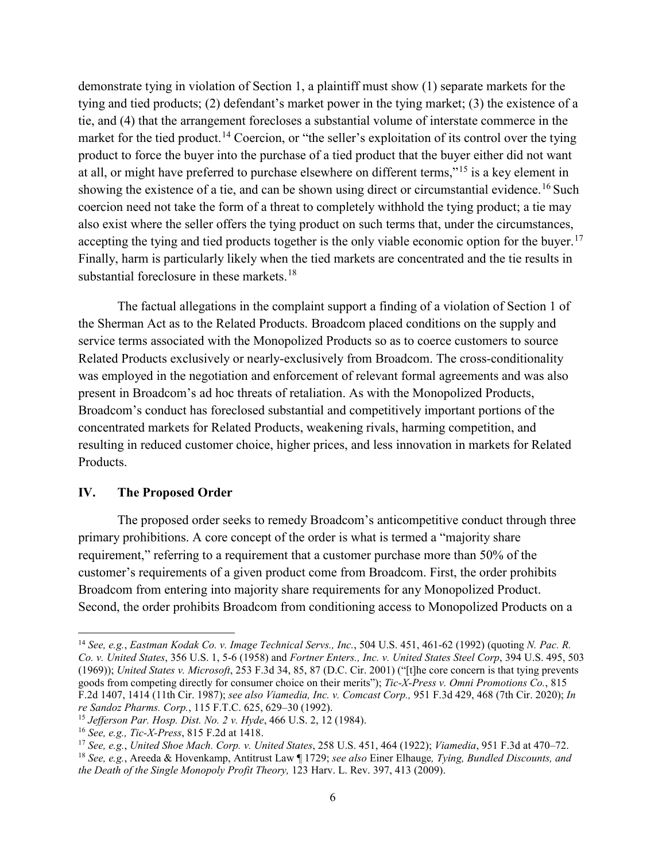demonstrate tying in violation of Section 1, a plaintiff must show (1) separate markets for the tying and tied products; (2) defendant's market power in the tying market; (3) the existence of a tie, and (4) that the arrangement forecloses a substantial volume of interstate commerce in the market for the tied product.<sup>[14](#page-5-0)</sup> Coercion, or "the seller's exploitation of its control over the tying product to force the buyer into the purchase of a tied product that the buyer either did not want at all, or might have preferred to purchase elsewhere on different terms,"[15](#page-5-1) is a key element in showing the existence of a tie, and can be shown using direct or circumstantial evidence.<sup>[16](#page-5-2)</sup> Such coercion need not take the form of a threat to completely withhold the tying product; a tie may also exist where the seller offers the tying product on such terms that, under the circumstances, accepting the tying and tied products together is the only viable economic option for the buyer.<sup>[17](#page-5-3)</sup> Finally, harm is particularly likely when the tied markets are concentrated and the tie results in substantial foreclosure in these markets.<sup>[18](#page-5-4)</sup>

The factual allegations in the complaint support a finding of a violation of Section 1 of the Sherman Act as to the Related Products. Broadcom placed conditions on the supply and service terms associated with the Monopolized Products so as to coerce customers to source Related Products exclusively or nearly-exclusively from Broadcom. The cross-conditionality was employed in the negotiation and enforcement of relevant formal agreements and was also present in Broadcom's ad hoc threats of retaliation. As with the Monopolized Products, Broadcom's conduct has foreclosed substantial and competitively important portions of the concentrated markets for Related Products, weakening rivals, harming competition, and resulting in reduced customer choice, higher prices, and less innovation in markets for Related Products.

### **IV. The Proposed Order**

The proposed order seeks to remedy Broadcom's anticompetitive conduct through three primary prohibitions. A core concept of the order is what is termed a "majority share requirement," referring to a requirement that a customer purchase more than 50% of the customer's requirements of a given product come from Broadcom. First, the order prohibits Broadcom from entering into majority share requirements for any Monopolized Product. Second, the order prohibits Broadcom from conditioning access to Monopolized Products on a

<span id="page-5-0"></span> <sup>14</sup> *See, e.g.*, *Eastman Kodak Co. v. Image Technical Servs., Inc.*, 504 U.S. 451, 461-62 (1992) (quoting *N. Pac. R. Co. v. United States*, 356 U.S. 1, 5-6 (1958) and *Fortner Enters., Inc. v. United States Steel Corp*, 394 U.S. 495, 503 (1969)); *United States v. Microsoft*, 253 F.3d 34, 85, 87 (D.C. Cir. 2001) ("[t]he core concern is that tying prevents goods from competing directly for consumer choice on their merits"); *Tic-X-Press v. Omni Promotions Co.*, 815 F.2d 1407, 1414 (11th Cir. 1987); *see also Viamedia, Inc. v. Comcast Corp.,* 951 F.3d 429, 468 (7th Cir. 2020); *In re Sandoz Pharms. Corp.*, 115 F.T.C. 625, 629–30 (1992).

<span id="page-5-1"></span><sup>15</sup> *Jefferson Par. Hosp. Dist. No. 2 v. Hyde*, 466 U.S. 2, 12 (1984).

<span id="page-5-2"></span><sup>16</sup> *See, e.g., Tic-X-Press*, 815 F.2d at 1418.

<span id="page-5-3"></span><sup>17</sup> *See, e.g.*, *United Shoe Mach. Corp. v. United States*, 258 U.S. 451, 464 (1922); *Viamedia*, 951 F.3d at 470–72.

<span id="page-5-4"></span><sup>18</sup> *See, e.g.*, Areeda & Hovenkamp, Antitrust Law ¶ 1729; *see also* Einer Elhauge*, Tying, Bundled Discounts, and the Death of the Single Monopoly Profit Theory,* 123 Harv. L. Rev. 397, 413 (2009).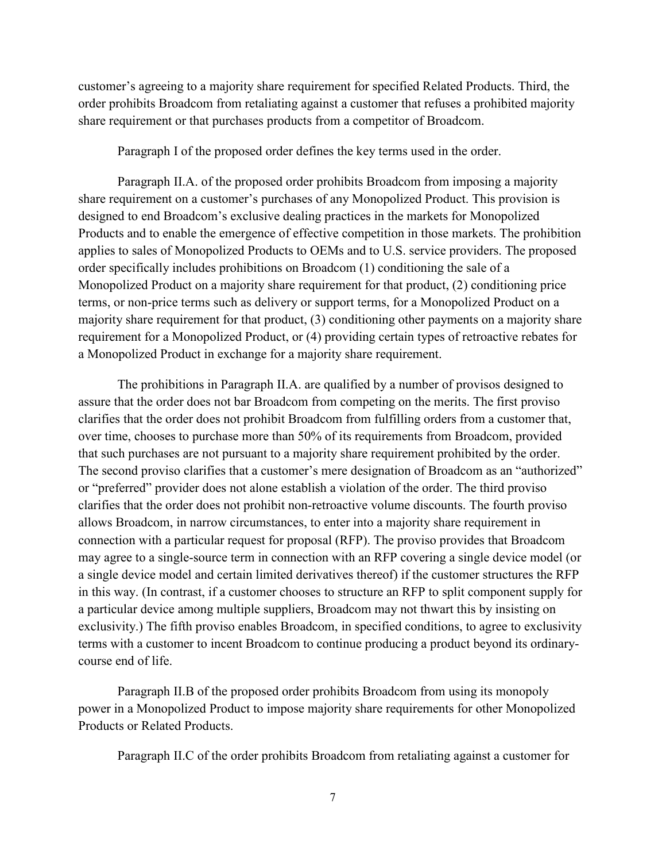customer's agreeing to a majority share requirement for specified Related Products. Third, the order prohibits Broadcom from retaliating against a customer that refuses a prohibited majority share requirement or that purchases products from a competitor of Broadcom.

Paragraph I of the proposed order defines the key terms used in the order.

Paragraph II.A. of the proposed order prohibits Broadcom from imposing a majority share requirement on a customer's purchases of any Monopolized Product. This provision is designed to end Broadcom's exclusive dealing practices in the markets for Monopolized Products and to enable the emergence of effective competition in those markets. The prohibition applies to sales of Monopolized Products to OEMs and to U.S. service providers. The proposed order specifically includes prohibitions on Broadcom (1) conditioning the sale of a Monopolized Product on a majority share requirement for that product, (2) conditioning price terms, or non-price terms such as delivery or support terms, for a Monopolized Product on a majority share requirement for that product, (3) conditioning other payments on a majority share requirement for a Monopolized Product, or (4) providing certain types of retroactive rebates for a Monopolized Product in exchange for a majority share requirement.

The prohibitions in Paragraph II.A. are qualified by a number of provisos designed to assure that the order does not bar Broadcom from competing on the merits. The first proviso clarifies that the order does not prohibit Broadcom from fulfilling orders from a customer that, over time, chooses to purchase more than 50% of its requirements from Broadcom, provided that such purchases are not pursuant to a majority share requirement prohibited by the order. The second proviso clarifies that a customer's mere designation of Broadcom as an "authorized" or "preferred" provider does not alone establish a violation of the order. The third proviso clarifies that the order does not prohibit non-retroactive volume discounts. The fourth proviso allows Broadcom, in narrow circumstances, to enter into a majority share requirement in connection with a particular request for proposal (RFP). The proviso provides that Broadcom may agree to a single-source term in connection with an RFP covering a single device model (or a single device model and certain limited derivatives thereof) if the customer structures the RFP in this way. (In contrast, if a customer chooses to structure an RFP to split component supply for a particular device among multiple suppliers, Broadcom may not thwart this by insisting on exclusivity.) The fifth proviso enables Broadcom, in specified conditions, to agree to exclusivity terms with a customer to incent Broadcom to continue producing a product beyond its ordinarycourse end of life.

Paragraph II.B of the proposed order prohibits Broadcom from using its monopoly power in a Monopolized Product to impose majority share requirements for other Monopolized Products or Related Products.

Paragraph II.C of the order prohibits Broadcom from retaliating against a customer for